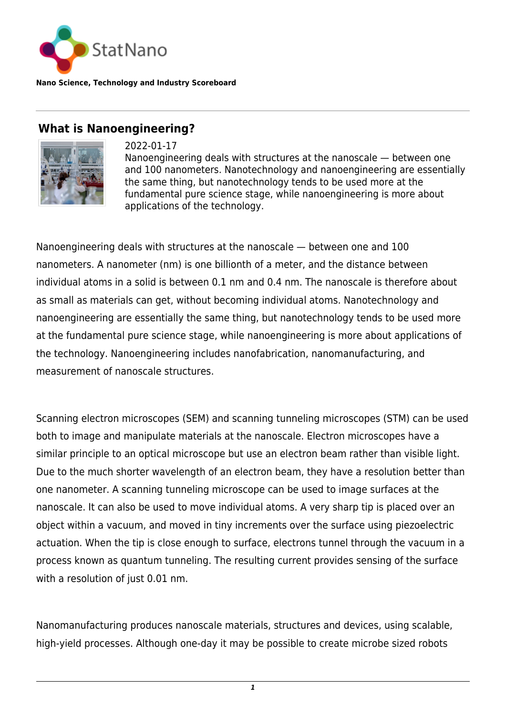

**Nano Science, Technology and Industry Scoreboard**

## **What is Nanoengineering?**



2022-01-17

Nanoengineering deals with structures at the nanoscale — between one and 100 nanometers. Nanotechnology and nanoengineering are essentially the same thing, but nanotechnology tends to be used more at the fundamental pure science stage, while nanoengineering is more about applications of the technology.

Nanoengineering deals with structures at the nanoscale — between one and 100 nanometers. A nanometer (nm) is one billionth of a meter, and the distance between individual atoms in a solid is between 0.1 nm and 0.4 nm. The nanoscale is therefore about as small as materials can get, without becoming individual atoms. Nanotechnology and nanoengineering are essentially the same thing, but nanotechnology tends to be used more at the fundamental pure science stage, while nanoengineering is more about applications of the technology. Nanoengineering includes nanofabrication, nanomanufacturing, and measurement of nanoscale structures.

Scanning electron microscopes (SEM) and scanning tunneling microscopes (STM) can be used both to image and manipulate materials at the nanoscale. Electron microscopes have a similar principle to an optical microscope but use an electron beam rather than visible light. Due to the much shorter wavelength of an electron beam, they have a resolution better than one nanometer. A scanning tunneling microscope can be used to image surfaces at the nanoscale. It can also be used to move individual atoms. A very sharp tip is placed over an object within a vacuum, and moved in tiny increments over the surface using piezoelectric actuation. When the tip is close enough to surface, electrons tunnel through the vacuum in a process known as quantum tunneling. The resulting current provides sensing of the surface with a resolution of just 0.01 nm.

Nanomanufacturing produces nanoscale materials, structures and devices, using scalable, high-yield processes. Although one-day it may be possible to create microbe sized robots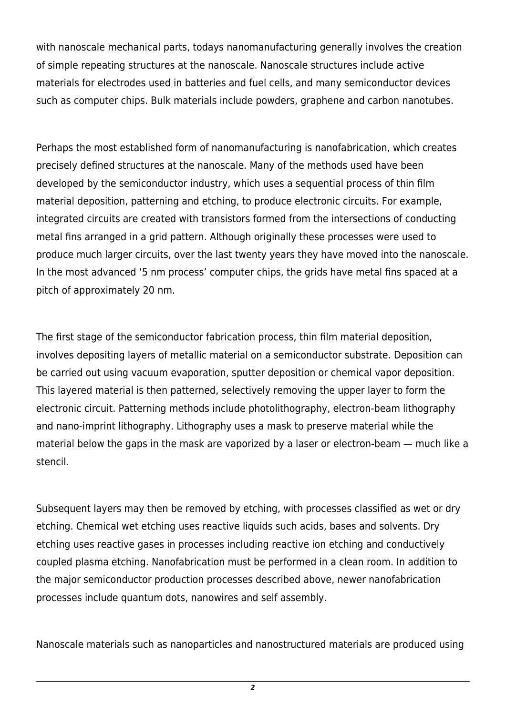with nanoscale mechanical parts, todays nanomanufacturing generally involves the creation of simple repeating structures at the nanoscale. Nanoscale structures include active materials for electrodes used in batteries and fuel cells, and many semiconductor devices such as computer chips. Bulk materials include powders, graphene and carbon nanotubes.

Perhaps the most established form of nanomanufacturing is nanofabrication, which creates precisely defined structures at the nanoscale. Many of the methods used have been developed by the semiconductor industry, which uses a sequential process of thin film material deposition, patterning and etching, to produce electronic circuits. For example, integrated circuits are created with transistors formed from the intersections of conducting metal fins arranged in a grid pattern. Although originally these processes were used to produce much larger circuits, over the last twenty years they have moved into the nanoscale. In the most advanced '5 nm process' computer chips, the grids have metal fins spaced at a pitch of approximately 20 nm.

The first stage of the semiconductor fabrication process, thin film material deposition, involves depositing layers of metallic material on a semiconductor substrate. Deposition can be carried out using vacuum evaporation, sputter deposition or chemical vapor deposition. This layered material is then patterned, selectively removing the upper layer to form the electronic circuit. Patterning methods include photolithography, electron-beam lithography and nano-imprint lithography. Lithography uses a mask to preserve material while the material below the gaps in the mask are vaporized by a laser or electron-beam — much like a stencil.

Subsequent layers may then be removed by etching, with processes classified as wet or dry etching. Chemical wet etching uses reactive liquids such acids, bases and solvents. Dry etching uses reactive gases in processes including reactive ion etching and conductively coupled plasma etching. Nanofabrication must be performed in a clean room. In addition to the major semiconductor production processes described above, newer nanofabrication processes include quantum dots, nanowires and self assembly.

Nanoscale materials such as nanoparticles and nanostructured materials are produced using

*2*